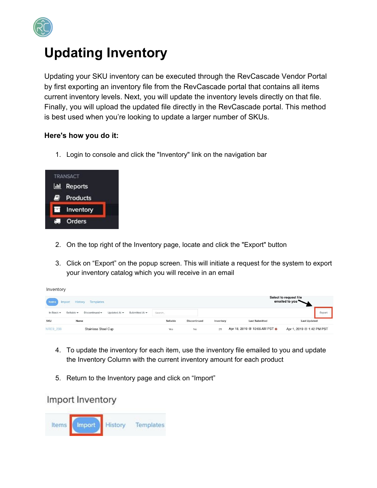

## **Updating Inventory**

Updating your SKU inventory can be executed through the RevCascade Vendor Portal by first exporting an inventory file from the RevCascade portal that contains all items current inventory levels. Next, you will update the inventory levels directly on that file. Finally, you will upload the updated file directly in the RevCascade portal. This method is best used when you're looking to update a larger number of SKUs.

## **Here's how you do it:**

1. Login to console and click the "Inventory" link on the navigation bar

| <b>TRANSACT</b>    |  |
|--------------------|--|
| <b>II</b> Reports  |  |
| Products           |  |
| <b>E</b> Inventory |  |
| Orders             |  |

- 2. On the top right of the Inventory page, locate and click the "Export" button
- 3. Click on "Export" on the popup screen. This will initiate a request for the system to export your inventory catalog which you will receive in an email

| tems<br>Import History<br>Templates                                                | Select to request file<br>emailed to you |                     |           |                               |                           |
|------------------------------------------------------------------------------------|------------------------------------------|---------------------|-----------|-------------------------------|---------------------------|
| Discontinued -<br>Updated At $\star$<br>Submitted At -<br>Sellable v<br>In Stock + | Search.                                  |                     |           |                               | Export                    |
| <b>SKU</b><br>Name                                                                 | Sellable                                 | <b>Discontinued</b> | Inventory | <b>Last Submitted</b>         | <b>Last Updated</b>       |
| <b>NRE9 238</b><br><b>Stainless Steel Cup</b>                                      | Yes                                      | No                  | 25        | Apr 18, 2019 @ 10:06 AM PST @ | Apr 1, 2019 @ 1:42 PM PST |

- 4. To update the inventory for each item, use the inventory file emailed to you and update the Inventory Column with the current inventory amount for each product
- 5. Return to the Inventory page and click on "Import"

## Import Inventory